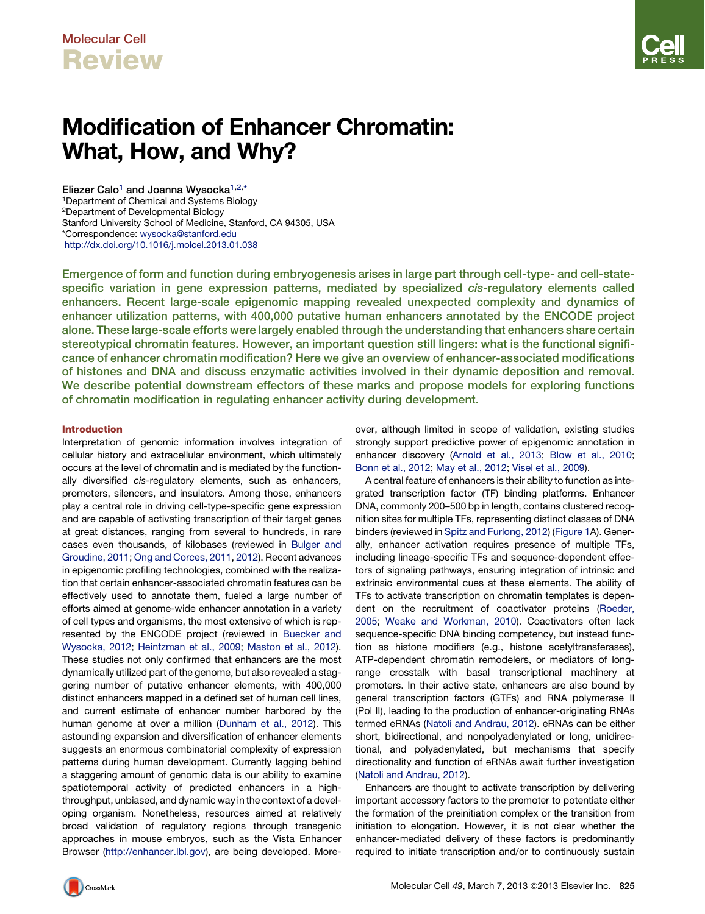# Modification of Enhancer Chromatin: What, How, and Why?

Eliezer Calo<sup>1</sup> and Joanna Wysocka<sup>1,2,\*</sup> <sup>1</sup>Department of Chemical and Systems Biology 2Department of Developmental Biology Stanford University School of Medicine, Stanford, CA 94305, USA \*Correspondence: [wysocka@stanford.edu](mailto:wysocka@stanford.edu) <http://dx.doi.org/10.1016/j.molcel.2013.01.038>

Emergence of form and function during embryogenesis arises in large part through cell-type- and cell-statespecific variation in gene expression patterns, mediated by specialized cis-regulatory elements called enhancers. Recent large-scale epigenomic mapping revealed unexpected complexity and dynamics of enhancer utilization patterns, with 400,000 putative human enhancers annotated by the ENCODE project alone. These large-scale efforts were largely enabled through the understanding that enhancers share certain stereotypical chromatin features. However, an important question still lingers: what is the functional significance of enhancer chromatin modification? Here we give an overview of enhancer-associated modifications of histones and DNA and discuss enzymatic activities involved in their dynamic deposition and removal. We describe potential downstream effectors of these marks and propose models for exploring functions of chromatin modification in regulating enhancer activity during development.

### Introduction

Interpretation of genomic information involves integration of cellular history and extracellular environment, which ultimately occurs at the level of chromatin and is mediated by the functionally diversified *cis*-regulatory elements, such as enhancers, promoters, silencers, and insulators. Among those, enhancers play a central role in driving cell-type-specific gene expression and are capable of activating transcription of their target genes at great distances, ranging from several to hundreds, in rare cases even thousands, of kilobases (reviewed in [Bulger and](#page-9-0) [Groudine, 2011;](#page-9-0) [Ong and Corces, 2011](#page-11-0), [2012\)](#page-11-0). Recent advances in epigenomic profiling technologies, combined with the realization that certain enhancer-associated chromatin features can be effectively used to annotate them, fueled a large number of efforts aimed at genome-wide enhancer annotation in a variety of cell types and organisms, the most extensive of which is represented by the ENCODE project (reviewed in [Buecker and](#page-9-0) [Wysocka, 2012](#page-9-0); [Heintzman et al., 2009;](#page-10-0) [Maston et al., 2012\)](#page-11-0). These studies not only confirmed that enhancers are the most dynamically utilized part of the genome, but also revealed a staggering number of putative enhancer elements, with 400,000 distinct enhancers mapped in a defined set of human cell lines, and current estimate of enhancer number harbored by the human genome at over a million ([Dunham et al., 2012](#page-10-0)). This astounding expansion and diversification of enhancer elements suggests an enormous combinatorial complexity of expression patterns during human development. Currently lagging behind a staggering amount of genomic data is our ability to examine spatiotemporal activity of predicted enhancers in a highthroughput, unbiased, and dynamic way in the context of a developing organism. Nonetheless, resources aimed at relatively broad validation of regulatory regions through transgenic approaches in mouse embryos, such as the Vista Enhancer Browser [\(http://enhancer.lbl.gov\)](http://enhancer.lbl.gov), are being developed. Moreover, although limited in scope of validation, existing studies strongly support predictive power of epigenomic annotation in enhancer discovery [\(Arnold et al., 2013](#page-9-0); [Blow et al., 2010;](#page-9-0) [Bonn et al., 2012](#page-9-0); [May et al., 2012;](#page-11-0) [Visel et al., 2009](#page-12-0)).

A central feature of enhancers is their ability to function as integrated transcription factor (TF) binding platforms. Enhancer DNA, commonly 200–500 bp in length, contains clustered recognition sites for multiple TFs, representing distinct classes of DNA binders (reviewed in [Spitz and Furlong, 2012\)](#page-12-0) ([Figure 1](#page-1-0)A). Generally, enhancer activation requires presence of multiple TFs, including lineage-specific TFs and sequence-dependent effectors of signaling pathways, ensuring integration of intrinsic and extrinsic environmental cues at these elements. The ability of TFs to activate transcription on chromatin templates is dependent on the recruitment of coactivator proteins [\(Roeder,](#page-11-0) [2005;](#page-11-0) [Weake and Workman, 2010\)](#page-12-0). Coactivators often lack sequence-specific DNA binding competency, but instead function as histone modifiers (e.g., histone acetyltransferases), ATP-dependent chromatin remodelers, or mediators of longrange crosstalk with basal transcriptional machinery at promoters. In their active state, enhancers are also bound by general transcription factors (GTFs) and RNA polymerase II (Pol II), leading to the production of enhancer-originating RNAs termed eRNAs ([Natoli and Andrau, 2012](#page-11-0)). eRNAs can be either short, bidirectional, and nonpolyadenylated or long, unidirectional, and polyadenylated, but mechanisms that specify directionality and function of eRNAs await further investigation [\(Natoli and Andrau, 2012\)](#page-11-0).

Enhancers are thought to activate transcription by delivering important accessory factors to the promoter to potentiate either the formation of the preinitiation complex or the transition from initiation to elongation. However, it is not clear whether the enhancer-mediated delivery of these factors is predominantly required to initiate transcription and/or to continuously sustain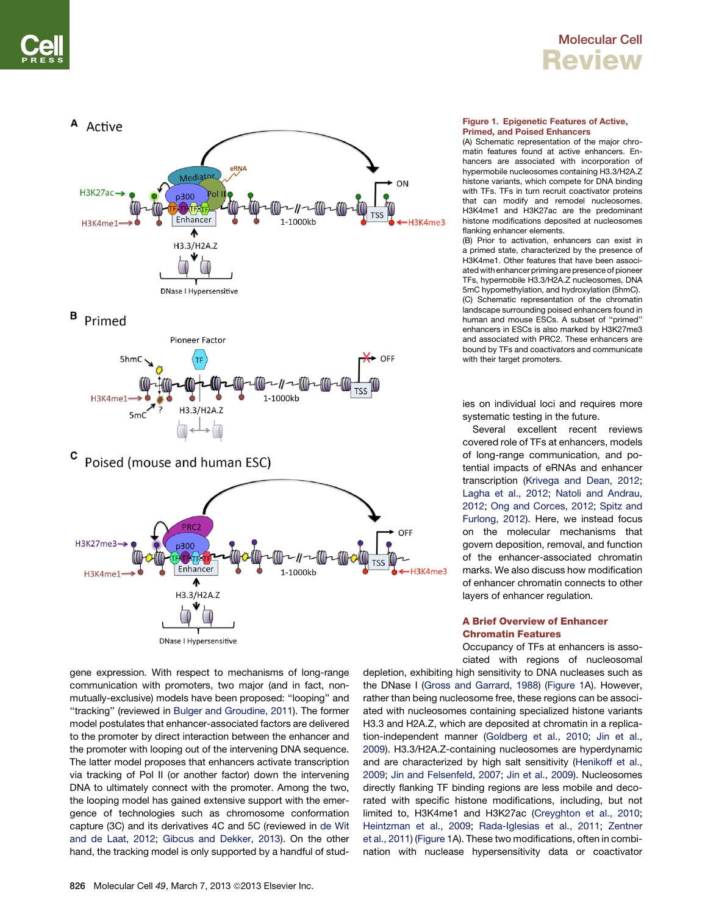

<span id="page-1-0"></span>

gene expression. With respect to mechanisms of long-range communication with promoters, two major (and in fact, nonmutually-exclusive) models have been proposed: ''looping'' and "tracking" (reviewed in [Bulger and Groudine, 2011\)](#page-9-0). The former model postulates that enhancer-associated factors are delivered to the promoter by direct interaction between the enhancer and the promoter with looping out of the intervening DNA sequence. The latter model proposes that enhancers activate transcription via tracking of Pol II (or another factor) down the intervening DNA to ultimately connect with the promoter. Among the two, the looping model has gained extensive support with the emergence of technologies such as chromosome conformation capture (3C) and its derivatives 4C and 5C (reviewed in [de Wit](#page-9-0) [and de Laat, 2012;](#page-9-0) [Gibcus and Dekker, 2013\)](#page-10-0). On the other hand, the tracking model is only supported by a handful of stud-

### Figure 1. Epigenetic Features of Active, Primed, and Poised Enhancers

(A) Schematic representation of the major chromatin features found at active enhancers. Enhancers are associated with incorporation of hypermobile nucleosomes containing H3.3/H2A.Z histone variants, which compete for DNA binding with TFs. TFs in turn recruit coactivator proteins that can modify and remodel nucleosomes. H3K4me1 and H3K27ac are the predominant histone modifications deposited at nucleosomes flanking enhancer elements.

(B) Prior to activation, enhancers can exist in a primed state, characterized by the presence of H3K4me1. Other features that have been associated with enhancer priming are presence of pioneer TFs, hypermobile H3.3/H2A.Z nucleosomes, DNA 5mC hypomethylation, and hydroxylation (5hmC). (C) Schematic representation of the chromatin landscape surrounding poised enhancers found in human and mouse ESCs. A subset of ''primed'' enhancers in ESCs is also marked by H3K27me3 and associated with PRC2. These enhancers are bound by TFs and coactivators and communicate with their target promoters.

ies on individual loci and requires more systematic testing in the future.

Several excellent recent reviews covered role of TFs at enhancers, models of long-range communication, and potential impacts of eRNAs and enhancer transcription [\(Krivega and Dean, 2012;](#page-10-0) [Lagha et al., 2012](#page-11-0); [Natoli and Andrau,](#page-11-0) [2012;](#page-11-0) [Ong and Corces, 2012;](#page-11-0) [Spitz and](#page-12-0) [Furlong, 2012\)](#page-12-0). Here, we instead focus on the molecular mechanisms that govern deposition, removal, and function of the enhancer-associated chromatin marks. We also discuss how modification of enhancer chromatin connects to other layers of enhancer regulation.

### A Brief Overview of Enhancer Chromatin Features

Occupancy of TFs at enhancers is associated with regions of nucleosomal

depletion, exhibiting high sensitivity to DNA nucleases such as the DNase I [\(Gross and Garrard, 1988\)](#page-10-0) (Figure 1A). However, rather than being nucleosome free, these regions can be associated with nucleosomes containing specialized histone variants H3.3 and H2A.Z, which are deposited at chromatin in a replication-independent manner [\(Goldberg et al., 2010](#page-10-0); [Jin et al.,](#page-10-0) [2009\)](#page-10-0). H3.3/H2A.Z-containing nucleosomes are hyperdynamic and are characterized by high salt sensitivity ([Henikoff et al.,](#page-10-0) [2009;](#page-10-0) [Jin and Felsenfeld, 2007;](#page-10-0) [Jin et al., 2009\)](#page-10-0). Nucleosomes directly flanking TF binding regions are less mobile and decorated with specific histone modifications, including, but not limited to, H3K4me1 and H3K27ac [\(Creyghton et al., 2010;](#page-9-0) [Heintzman et al., 2009;](#page-10-0) [Rada-Iglesias et al., 2011](#page-11-0); [Zentner](#page-12-0) [et al., 2011](#page-12-0)) (Figure 1A). These two modifications, often in combination with nuclease hypersensitivity data or coactivator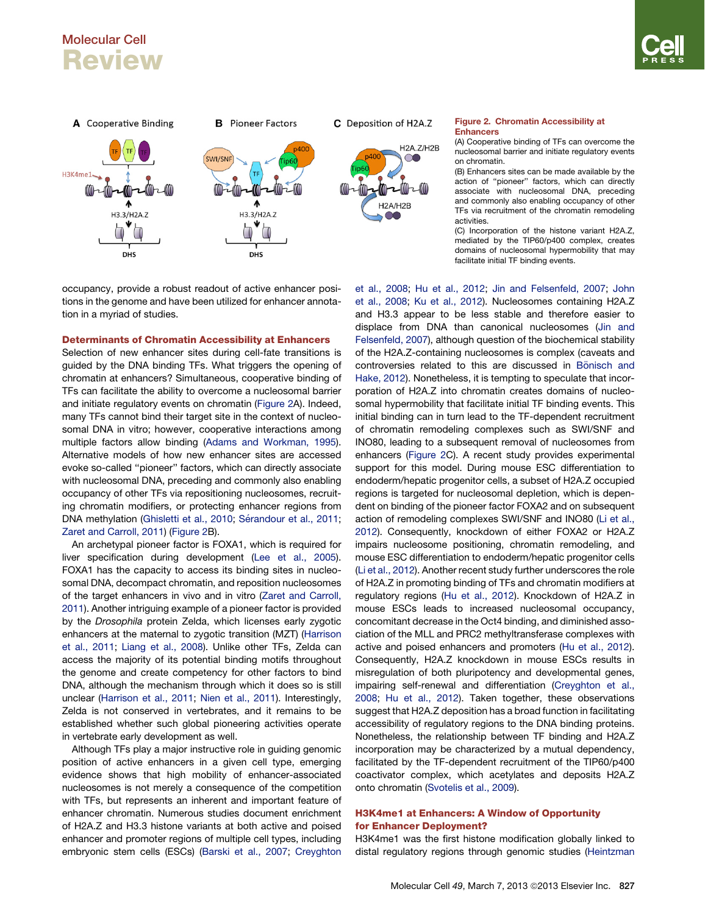

occupancy, provide a robust readout of active enhancer positions in the genome and have been utilized for enhancer annotation in a myriad of studies.

### Determinants of Chromatin Accessibility at Enhancers

Selection of new enhancer sites during cell-fate transitions is guided by the DNA binding TFs. What triggers the opening of chromatin at enhancers? Simultaneous, cooperative binding of TFs can facilitate the ability to overcome a nucleosomal barrier and initiate regulatory events on chromatin (Figure 2A). Indeed, many TFs cannot bind their target site in the context of nucleosomal DNA in vitro; however, cooperative interactions among multiple factors allow binding [\(Adams and Workman, 1995\)](#page-9-0). Alternative models of how new enhancer sites are accessed evoke so-called ''pioneer'' factors, which can directly associate with nucleosomal DNA, preceding and commonly also enabling occupancy of other TFs via repositioning nucleosomes, recruiting chromatin modifiers, or protecting enhancer regions from DNA methylation ([Ghisletti et al., 2010](#page-10-0); Sérandour et al., 2011; [Zaret and Carroll, 2011](#page-12-0)) (Figure 2B).

An archetypal pioneer factor is FOXA1, which is required for liver specification during development [\(Lee et al., 2005\)](#page-11-0). FOXA1 has the capacity to access its binding sites in nucleosomal DNA, decompact chromatin, and reposition nucleosomes of the target enhancers in vivo and in vitro [\(Zaret and Carroll,](#page-12-0) [2011\)](#page-12-0). Another intriguing example of a pioneer factor is provided by the *Drosophila* protein Zelda, which licenses early zygotic enhancers at the maternal to zygotic transition (MZT) [\(Harrison](#page-10-0) [et al., 2011](#page-10-0); [Liang et al., 2008\)](#page-11-0). Unlike other TFs, Zelda can access the majority of its potential binding motifs throughout the genome and create competency for other factors to bind DNA, although the mechanism through which it does so is still unclear [\(Harrison et al., 2011;](#page-10-0) [Nien et al., 2011\)](#page-11-0). Interestingly, Zelda is not conserved in vertebrates, and it remains to be established whether such global pioneering activities operate in vertebrate early development as well.

Although TFs play a major instructive role in guiding genomic position of active enhancers in a given cell type, emerging evidence shows that high mobility of enhancer-associated nucleosomes is not merely a consequence of the competition with TFs, but represents an inherent and important feature of enhancer chromatin. Numerous studies document enrichment of H2A.Z and H3.3 histone variants at both active and poised enhancer and promoter regions of multiple cell types, including embryonic stem cells (ESCs) ([Barski et al., 2007](#page-9-0); [Creyghton](#page-9-0)

#### Figure 2. Chromatin Accessibility at **Enhancers**

(A) Cooperative binding of TFs can overcome the nucleosomal barrier and initiate regulatory events on chromatin.

(B) Enhancers sites can be made available by the action of ''pioneer'' factors, which can directly associate with nucleosomal DNA, preceding and commonly also enabling occupancy of other TFs via recruitment of the chromatin remodeling activities.

(C) Incorporation of the histone variant H2A.Z, mediated by the TIP60/p400 complex, creates domains of nucleosomal hypermobility that may facilitate initial TF binding events.

[et al., 2008](#page-9-0); [Hu et al., 2012](#page-10-0); [Jin and Felsenfeld, 2007](#page-10-0); [John](#page-10-0) [et al., 2008;](#page-10-0) [Ku et al., 2012\)](#page-10-0). Nucleosomes containing H2A.Z and H3.3 appear to be less stable and therefore easier to displace from DNA than canonical nucleosomes [\(Jin and](#page-10-0) [Felsenfeld, 2007](#page-10-0)), although question of the biochemical stability of the H2A.Z-containing nucleosomes is complex (caveats and controversies related to this are discussed in Bö[nisch and](#page-9-0) [Hake, 2012](#page-9-0)). Nonetheless, it is tempting to speculate that incorporation of H2A.Z into chromatin creates domains of nucleosomal hypermobility that facilitate initial TF binding events. This initial binding can in turn lead to the TF-dependent recruitment of chromatin remodeling complexes such as SWI/SNF and INO80, leading to a subsequent removal of nucleosomes from enhancers (Figure 2C). A recent study provides experimental support for this model. During mouse ESC differentiation to endoderm/hepatic progenitor cells, a subset of H2A.Z occupied regions is targeted for nucleosomal depletion, which is dependent on binding of the pioneer factor FOXA2 and on subsequent action of remodeling complexes SWI/SNF and INO80 ([Li et al.,](#page-11-0) [2012\)](#page-11-0). Consequently, knockdown of either FOXA2 or H2A.Z impairs nucleosome positioning, chromatin remodeling, and mouse ESC differentiation to endoderm/hepatic progenitor cells [\(Li et al., 2012\)](#page-11-0). Another recent study further underscores the role of H2A.Z in promoting binding of TFs and chromatin modifiers at regulatory regions [\(Hu et al., 2012\)](#page-10-0). Knockdown of H2A.Z in mouse ESCs leads to increased nucleosomal occupancy, concomitant decrease in the Oct4 binding, and diminished association of the MLL and PRC2 methyltransferase complexes with active and poised enhancers and promoters [\(Hu et al., 2012\)](#page-10-0). Consequently, H2A.Z knockdown in mouse ESCs results in misregulation of both pluripotency and developmental genes, impairing self-renewal and differentiation ([Creyghton et al.,](#page-9-0) [2008;](#page-9-0) [Hu et al., 2012\)](#page-10-0). Taken together, these observations suggest that H2A.Z deposition has a broad function in facilitating accessibility of regulatory regions to the DNA binding proteins. Nonetheless, the relationship between TF binding and H2A.Z incorporation may be characterized by a mutual dependency, facilitated by the TF-dependent recruitment of the TIP60/p400 coactivator complex, which acetylates and deposits H2A.Z onto chromatin [\(Svotelis et al., 2009](#page-12-0)).

### H3K4me1 at Enhancers: A Window of Opportunity for Enhancer Deployment?

H3K4me1 was the first histone modification globally linked to distal regulatory regions through genomic studies ([Heintzman](#page-10-0)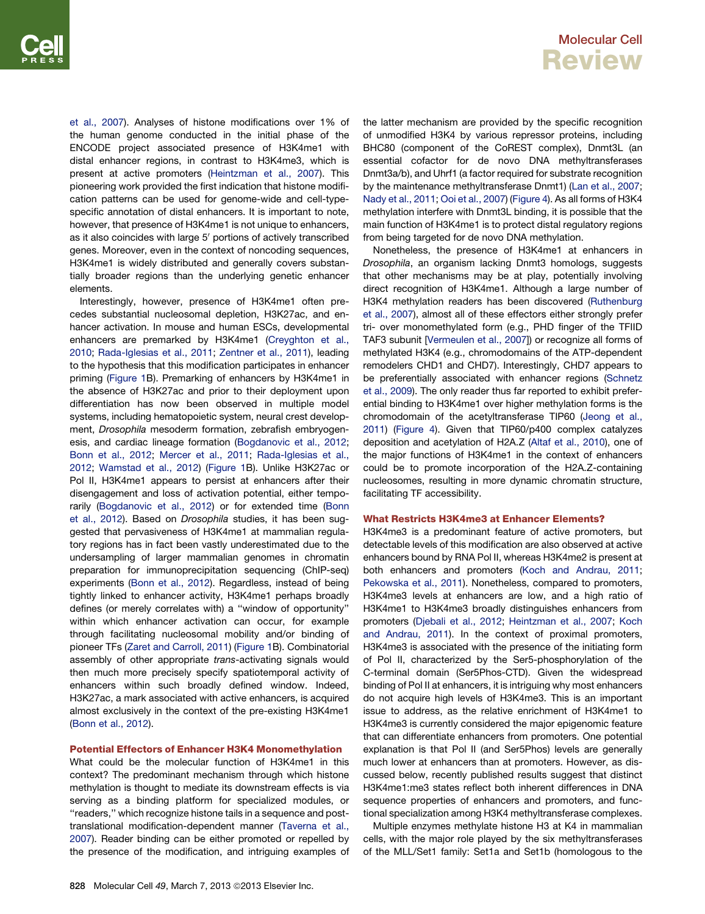[et al., 2007](#page-10-0)). Analyses of histone modifications over 1% of the human genome conducted in the initial phase of the ENCODE project associated presence of H3K4me1 with distal enhancer regions, in contrast to H3K4me3, which is present at active promoters [\(Heintzman et al., 2007](#page-10-0)). This pioneering work provided the first indication that histone modification patterns can be used for genome-wide and cell-typespecific annotation of distal enhancers. It is important to note, however, that presence of H3K4me1 is not unique to enhancers, as it also coincides with large 5' portions of actively transcribed genes. Moreover, even in the context of noncoding sequences, H3K4me1 is widely distributed and generally covers substantially broader regions than the underlying genetic enhancer elements.

Interestingly, however, presence of H3K4me1 often precedes substantial nucleosomal depletion, H3K27ac, and enhancer activation. In mouse and human ESCs, developmental enhancers are premarked by H3K4me1 ([Creyghton et al.,](#page-9-0) [2010](#page-9-0); [Rada-Iglesias et al., 2011](#page-11-0); [Zentner et al., 2011\)](#page-12-0), leading to the hypothesis that this modification participates in enhancer priming ([Figure 1](#page-1-0)B). Premarking of enhancers by H3K4me1 in the absence of H3K27ac and prior to their deployment upon differentiation has now been observed in multiple model systems, including hematopoietic system, neural crest development, *Drosophila* mesoderm formation, zebrafish embryogenesis, and cardiac lineage formation ([Bogdanovic et al., 2012;](#page-9-0) [Bonn et al., 2012;](#page-9-0) [Mercer et al., 2011](#page-11-0); [Rada-Iglesias et al.,](#page-11-0) [2012](#page-11-0); [Wamstad et al., 2012\)](#page-12-0) [\(Figure 1B](#page-1-0)). Unlike H3K27ac or Pol II, H3K4me1 appears to persist at enhancers after their disengagement and loss of activation potential, either temporarily ([Bogdanovic et al., 2012](#page-9-0)) or for extended time ([Bonn](#page-9-0) [et al., 2012\)](#page-9-0). Based on *Drosophila* studies, it has been suggested that pervasiveness of H3K4me1 at mammalian regulatory regions has in fact been vastly underestimated due to the undersampling of larger mammalian genomes in chromatin preparation for immunoprecipitation sequencing (ChIP-seq) experiments [\(Bonn et al., 2012\)](#page-9-0). Regardless, instead of being tightly linked to enhancer activity, H3K4me1 perhaps broadly defines (or merely correlates with) a ''window of opportunity'' within which enhancer activation can occur, for example through facilitating nucleosomal mobility and/or binding of pioneer TFs ([Zaret and Carroll, 2011\)](#page-12-0) ([Figure 1](#page-1-0)B). Combinatorial assembly of other appropriate *trans*-activating signals would then much more precisely specify spatiotemporal activity of enhancers within such broadly defined window. Indeed, H3K27ac, a mark associated with active enhancers, is acquired almost exclusively in the context of the pre-existing H3K4me1 ([Bonn et al., 2012](#page-9-0)).

### Potential Effectors of Enhancer H3K4 Monomethylation

What could be the molecular function of H3K4me1 in this context? The predominant mechanism through which histone methylation is thought to mediate its downstream effects is via serving as a binding platform for specialized modules, or ''readers,'' which recognize histone tails in a sequence and posttranslational modification-dependent manner ([Taverna et al.,](#page-12-0) [2007](#page-12-0)). Reader binding can be either promoted or repelled by the presence of the modification, and intriguing examples of

### Molecular Cell **Review**

the latter mechanism are provided by the specific recognition of unmodified H3K4 by various repressor proteins, including BHC80 (component of the CoREST complex), Dnmt3L (an essential cofactor for de novo DNA methyltransferases Dnmt3a/b), and Uhrf1 (a factor required for substrate recognition by the maintenance methyltransferase Dnmt1) [\(Lan et al., 2007;](#page-11-0) [Nady et al., 2011](#page-11-0); [Ooi et al., 2007\)](#page-11-0) ([Figure 4\)](#page-5-0). As all forms of H3K4 methylation interfere with Dnmt3L binding, it is possible that the main function of H3K4me1 is to protect distal regulatory regions from being targeted for de novo DNA methylation.

Nonetheless, the presence of H3K4me1 at enhancers in *Drosophila*, an organism lacking Dnmt3 homologs, suggests that other mechanisms may be at play, potentially involving direct recognition of H3K4me1. Although a large number of H3K4 methylation readers has been discovered [\(Ruthenburg](#page-11-0) [et al., 2007\)](#page-11-0), almost all of these effectors either strongly prefer tri- over monomethylated form (e.g., PHD finger of the TFIID TAF3 subunit [[Vermeulen et al., 2007\]](#page-12-0)) or recognize all forms of methylated H3K4 (e.g., chromodomains of the ATP-dependent remodelers CHD1 and CHD7). Interestingly, CHD7 appears to be preferentially associated with enhancer regions [\(Schnetz](#page-11-0) [et al., 2009\)](#page-11-0). The only reader thus far reported to exhibit preferential binding to H3K4me1 over higher methylation forms is the chromodomain of the acetyltransferase TIP60 ([Jeong et al.,](#page-10-0) [2011\)](#page-10-0) ([Figure 4](#page-5-0)). Given that TIP60/p400 complex catalyzes deposition and acetylation of H2A.Z [\(Altaf et al., 2010\)](#page-9-0), one of the major functions of H3K4me1 in the context of enhancers could be to promote incorporation of the H2A.Z-containing nucleosomes, resulting in more dynamic chromatin structure, facilitating TF accessibility.

#### What Restricts H3K4me3 at Enhancer Elements?

H3K4me3 is a predominant feature of active promoters, but detectable levels of this modification are also observed at active enhancers bound by RNA Pol II, whereas H3K4me2 is present at both enhancers and promoters [\(Koch and Andrau, 2011;](#page-10-0) [Pekowska et al., 2011](#page-11-0)). Nonetheless, compared to promoters, H3K4me3 levels at enhancers are low, and a high ratio of H3K4me1 to H3K4me3 broadly distinguishes enhancers from promoters ([Djebali et al., 2012;](#page-10-0) [Heintzman et al., 2007](#page-10-0); [Koch](#page-10-0) [and Andrau, 2011](#page-10-0)). In the context of proximal promoters, H3K4me3 is associated with the presence of the initiating form of Pol II, characterized by the Ser5-phosphorylation of the C-terminal domain (Ser5Phos-CTD). Given the widespread binding of Pol II at enhancers, it is intriguing why most enhancers do not acquire high levels of H3K4me3. This is an important issue to address, as the relative enrichment of H3K4me1 to H3K4me3 is currently considered the major epigenomic feature that can differentiate enhancers from promoters. One potential explanation is that Pol II (and Ser5Phos) levels are generally much lower at enhancers than at promoters. However, as discussed below, recently published results suggest that distinct H3K4me1:me3 states reflect both inherent differences in DNA sequence properties of enhancers and promoters, and functional specialization among H3K4 methyltransferase complexes.

Multiple enzymes methylate histone H3 at K4 in mammalian cells, with the major role played by the six methyltransferases of the MLL/Set1 family: Set1a and Set1b (homologous to the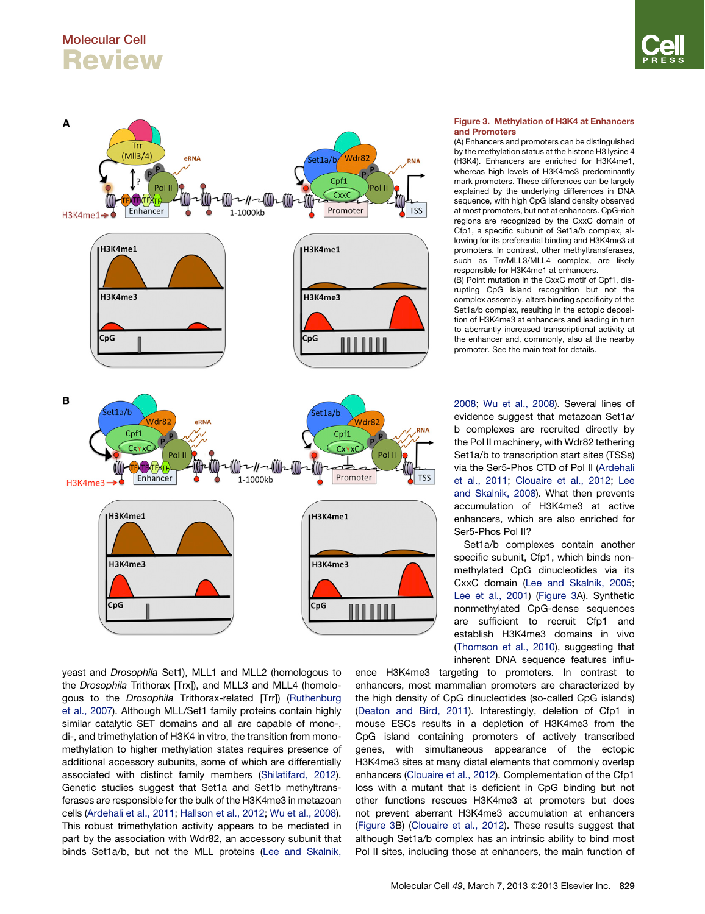<span id="page-4-0"></span>

yeast and *Drosophila* Set1), MLL1 and MLL2 (homologous to the *Drosophila* Trithorax [Trx]), and MLL3 and MLL4 (homologous to the *Drosophila* Trithorax-related [Trr]) ([Ruthenburg](#page-11-0) [et al., 2007](#page-11-0)). Although MLL/Set1 family proteins contain highly similar catalytic SET domains and all are capable of mono-, di-, and trimethylation of H3K4 in vitro, the transition from monomethylation to higher methylation states requires presence of additional accessory subunits, some of which are differentially associated with distinct family members [\(Shilatifard, 2012\)](#page-12-0). Genetic studies suggest that Set1a and Set1b methyltransferases are responsible for the bulk of the H3K4me3 in metazoan cells ([Ardehali et al., 2011;](#page-9-0) [Hallson et al., 2012](#page-10-0); [Wu et al., 2008\)](#page-12-0). This robust trimethylation activity appears to be mediated in part by the association with Wdr82, an accessory subunit that binds Set1a/b, but not the MLL proteins [\(Lee and Skalnik,](#page-11-0)

### Figure 3. Methylation of H3K4 at Enhancers and Promoters

(A) Enhancers and promoters can be distinguished by the methylation status at the histone H3 lysine 4 (H3K4). Enhancers are enriched for H3K4me1, whereas high levels of H3K4me3 predominantly mark promoters. These differences can be largely explained by the underlying differences in DNA sequence, with high CpG island density observed at most promoters, but not at enhancers. CpG-rich regions are recognized by the CxxC domain of Cfp1, a specific subunit of Set1a/b complex, allowing for its preferential binding and H3K4me3 at promoters. In contrast, other methyltransferases, such as Trr/MLL3/MLL4 complex, are likely responsible for H3K4me1 at enhancers.

(B) Point mutation in the CxxC motif of Cpf1, disrupting CpG island recognition but not the complex assembly, alters binding specificity of the Set1a/b complex, resulting in the ectopic deposition of H3K4me3 at enhancers and leading in turn to aberrantly increased transcriptional activity at the enhancer and, commonly, also at the nearby promoter. See the main text for details.

[2008](#page-11-0); [Wu et al., 2008\)](#page-12-0). Several lines of evidence suggest that metazoan Set1a/ b complexes are recruited directly by the Pol II machinery, with Wdr82 tethering Set1a/b to transcription start sites (TSSs) via the Ser5-Phos CTD of Pol II [\(Ardehali](#page-9-0) [et al., 2011;](#page-9-0) [Clouaire et al., 2012;](#page-9-0) [Lee](#page-11-0) [and Skalnik, 2008\)](#page-11-0). What then prevents accumulation of H3K4me3 at active enhancers, which are also enriched for Ser5-Phos Pol II?

Set1a/b complexes contain another specific subunit, Cfp1, which binds nonmethylated CpG dinucleotides via its CxxC domain ([Lee and Skalnik, 2005;](#page-11-0) [Lee et al., 2001](#page-11-0)) (Figure 3A). Synthetic nonmethylated CpG-dense sequences are sufficient to recruit Cfp1 and establish H3K4me3 domains in vivo ([Thomson et al., 2010\)](#page-12-0), suggesting that inherent DNA sequence features influ-

ence H3K4me3 targeting to promoters. In contrast to enhancers, most mammalian promoters are characterized by the high density of CpG dinucleotides (so-called CpG islands) [\(Deaton and Bird, 2011\)](#page-9-0). Interestingly, deletion of Cfp1 in mouse ESCs results in a depletion of H3K4me3 from the CpG island containing promoters of actively transcribed genes, with simultaneous appearance of the ectopic H3K4me3 sites at many distal elements that commonly overlap enhancers [\(Clouaire et al., 2012\)](#page-9-0). Complementation of the Cfp1 loss with a mutant that is deficient in CpG binding but not other functions rescues H3K4me3 at promoters but does not prevent aberrant H3K4me3 accumulation at enhancers (Figure 3B) [\(Clouaire et al., 2012\)](#page-9-0). These results suggest that although Set1a/b complex has an intrinsic ability to bind most Pol II sites, including those at enhancers, the main function of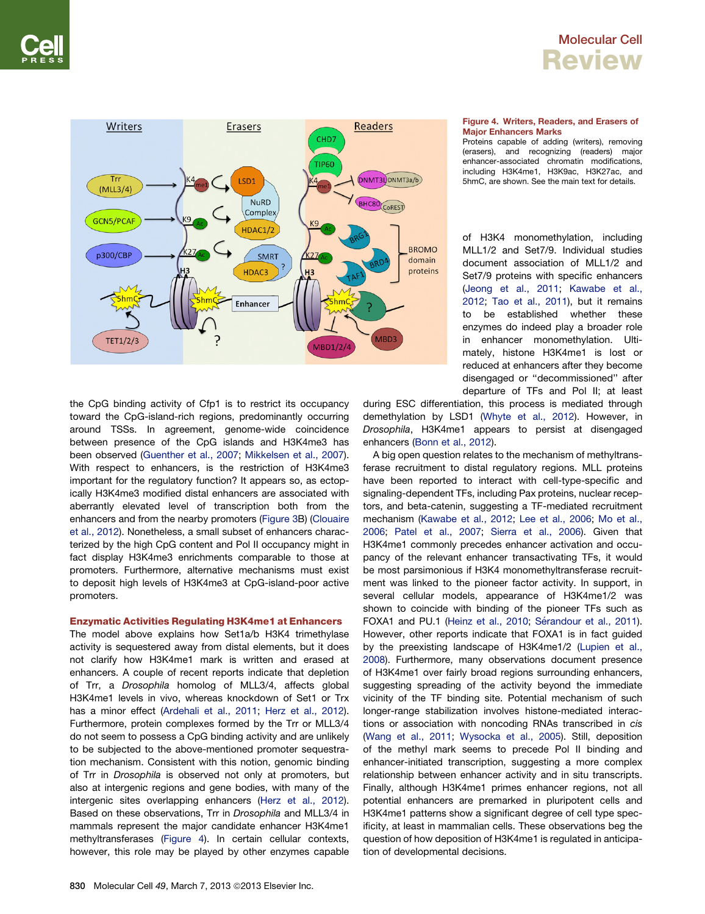<span id="page-5-0"></span>

the CpG binding activity of Cfp1 is to restrict its occupancy toward the CpG-island-rich regions, predominantly occurring around TSSs. In agreement, genome-wide coincidence between presence of the CpG islands and H3K4me3 has been observed ([Guenther et al., 2007](#page-10-0); [Mikkelsen et al., 2007](#page-11-0)). With respect to enhancers, is the restriction of H3K4me3 important for the regulatory function? It appears so, as ectopically H3K4me3 modified distal enhancers are associated with aberrantly elevated level of transcription both from the enhancers and from the nearby promoters [\(Figure 3B](#page-4-0)) ([Clouaire](#page-9-0) [et al., 2012\)](#page-9-0). Nonetheless, a small subset of enhancers characterized by the high CpG content and Pol II occupancy might in fact display H3K4me3 enrichments comparable to those at promoters. Furthermore, alternative mechanisms must exist to deposit high levels of H3K4me3 at CpG-island-poor active promoters.

### Enzymatic Activities Regulating H3K4me1 at Enhancers

The model above explains how Set1a/b H3K4 trimethylase activity is sequestered away from distal elements, but it does not clarify how H3K4me1 mark is written and erased at enhancers. A couple of recent reports indicate that depletion of Trr, a *Drosophila* homolog of MLL3/4, affects global H3K4me1 levels in vivo, whereas knockdown of Set1 or Trx has a minor effect ([Ardehali et al., 2011](#page-9-0); [Herz et al., 2012](#page-10-0)). Furthermore, protein complexes formed by the Trr or MLL3/4 do not seem to possess a CpG binding activity and are unlikely to be subjected to the above-mentioned promoter sequestration mechanism. Consistent with this notion, genomic binding of Trr in *Drosophila* is observed not only at promoters, but also at intergenic regions and gene bodies, with many of the intergenic sites overlapping enhancers ([Herz et al., 2012](#page-10-0)). Based on these observations, Trr in *Drosophila* and MLL3/4 in mammals represent the major candidate enhancer H3K4me1 methyltransferases (Figure 4). In certain cellular contexts, however, this role may be played by other enzymes capable

### Figure 4. Writers, Readers, and Erasers of Major Enhancers Marks

Proteins capable of adding (writers), removing (erasers), and recognizing (readers) major enhancer-associated chromatin modifications, including H3K4me1, H3K9ac, H3K27ac, and 5hmC, are shown. See the main text for details.

of H3K4 monomethylation, including MLL1/2 and Set7/9. Individual studies document association of MLL1/2 and Set7/9 proteins with specific enhancers [\(Jeong et al., 2011](#page-10-0); [Kawabe et al.,](#page-10-0) [2012;](#page-10-0) [Tao et al., 2011\)](#page-12-0), but it remains to be established whether these enzymes do indeed play a broader role in enhancer monomethylation. Ultimately, histone H3K4me1 is lost or reduced at enhancers after they become disengaged or ''decommissioned'' after departure of TFs and Pol II; at least

during ESC differentiation, this process is mediated through demethylation by LSD1 ([Whyte et al., 2012\)](#page-12-0). However, in *Drosophila*, H3K4me1 appears to persist at disengaged enhancers [\(Bonn et al., 2012](#page-9-0)).

A big open question relates to the mechanism of methyltransferase recruitment to distal regulatory regions. MLL proteins have been reported to interact with cell-type-specific and signaling-dependent TFs, including Pax proteins, nuclear receptors, and beta-catenin, suggesting a TF-mediated recruitment mechanism [\(Kawabe et al., 2012;](#page-10-0) [Lee et al., 2006](#page-11-0); [Mo et al.,](#page-11-0) [2006;](#page-11-0) [Patel et al., 2007;](#page-11-0) [Sierra et al., 2006](#page-12-0)). Given that H3K4me1 commonly precedes enhancer activation and occupancy of the relevant enhancer transactivating TFs, it would be most parsimonious if H3K4 monomethyltransferase recruitment was linked to the pioneer factor activity. In support, in several cellular models, appearance of H3K4me1/2 was shown to coincide with binding of the pioneer TFs such as FOXA1 and PU.1 [\(Heinz et al., 2010](#page-10-0); Sérandour et al., 2011). However, other reports indicate that FOXA1 is in fact guided by the preexisting landscape of H3K4me1/2 [\(Lupien et al.,](#page-11-0) [2008\)](#page-11-0). Furthermore, many observations document presence of H3K4me1 over fairly broad regions surrounding enhancers, suggesting spreading of the activity beyond the immediate vicinity of the TF binding site. Potential mechanism of such longer-range stabilization involves histone-mediated interactions or association with noncoding RNAs transcribed in *cis* [\(Wang et al., 2011;](#page-12-0) [Wysocka et al., 2005](#page-12-0)). Still, deposition of the methyl mark seems to precede Pol II binding and enhancer-initiated transcription, suggesting a more complex relationship between enhancer activity and in situ transcripts. Finally, although H3K4me1 primes enhancer regions, not all potential enhancers are premarked in pluripotent cells and H3K4me1 patterns show a significant degree of cell type specificity, at least in mammalian cells. These observations beg the question of how deposition of H3K4me1 is regulated in anticipation of developmental decisions.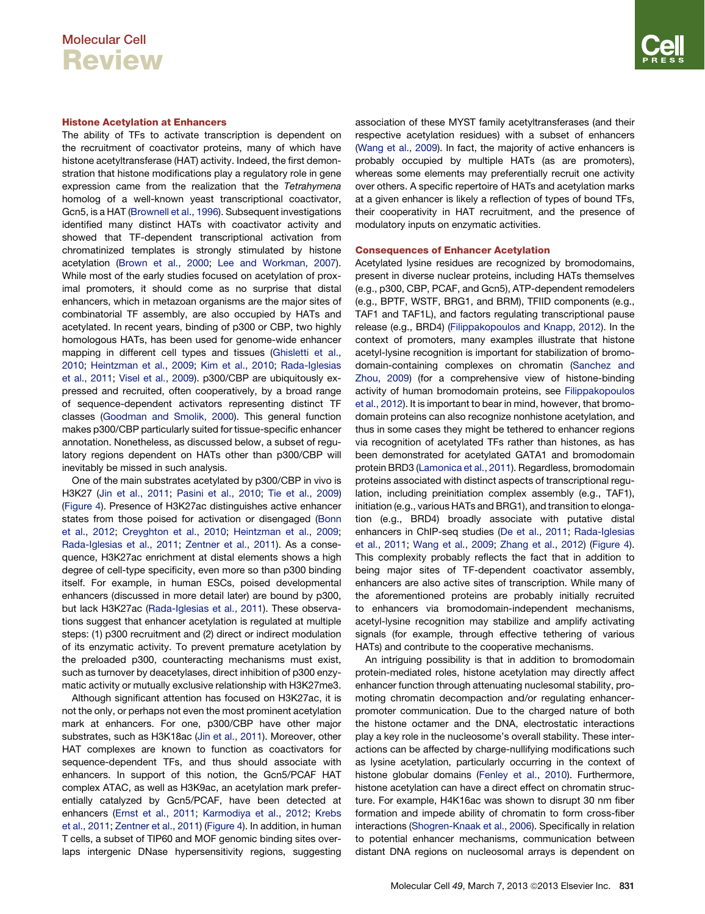### Histone Acetylation at Enhancers

The ability of TFs to activate transcription is dependent on the recruitment of coactivator proteins, many of which have histone acetyltransferase (HAT) activity. Indeed, the first demonstration that histone modifications play a regulatory role in gene expression came from the realization that the *Tetrahymena* homolog of a well-known yeast transcriptional coactivator, Gcn5, is a HAT ([Brownell et al., 1996\)](#page-9-0). Subsequent investigations identified many distinct HATs with coactivator activity and showed that TF-dependent transcriptional activation from chromatinized templates is strongly stimulated by histone acetylation ([Brown et al., 2000;](#page-9-0) [Lee and Workman, 2007\)](#page-11-0). While most of the early studies focused on acetylation of proximal promoters, it should come as no surprise that distal enhancers, which in metazoan organisms are the major sites of combinatorial TF assembly, are also occupied by HATs and acetylated. In recent years, binding of p300 or CBP, two highly homologous HATs, has been used for genome-wide enhancer mapping in different cell types and tissues ([Ghisletti et al.,](#page-10-0) [2010;](#page-10-0) [Heintzman et al., 2009;](#page-10-0) [Kim et al., 2010;](#page-10-0) [Rada-Iglesias](#page-11-0) [et al., 2011](#page-11-0); [Visel et al., 2009](#page-12-0)). p300/CBP are ubiquitously expressed and recruited, often cooperatively, by a broad range of sequence-dependent activators representing distinct TF classes [\(Goodman and Smolik, 2000](#page-10-0)). This general function makes p300/CBP particularly suited for tissue-specific enhancer annotation. Nonetheless, as discussed below, a subset of regulatory regions dependent on HATs other than p300/CBP will inevitably be missed in such analysis.

One of the main substrates acetylated by p300/CBP in vivo is H3K27 [\(Jin et al., 2011](#page-10-0); [Pasini et al., 2010](#page-11-0); [Tie et al., 2009\)](#page-12-0) [\(Figure 4](#page-5-0)). Presence of H3K27ac distinguishes active enhancer states from those poised for activation or disengaged [\(Bonn](#page-9-0) [et al., 2012](#page-9-0); [Creyghton et al., 2010;](#page-9-0) [Heintzman et al., 2009;](#page-10-0) [Rada-Iglesias et al., 2011;](#page-11-0) [Zentner et al., 2011](#page-12-0)). As a consequence, H3K27ac enrichment at distal elements shows a high degree of cell-type specificity, even more so than p300 binding itself. For example, in human ESCs, poised developmental enhancers (discussed in more detail later) are bound by p300, but lack H3K27ac [\(Rada-Iglesias et al., 2011](#page-11-0)). These observations suggest that enhancer acetylation is regulated at multiple steps: (1) p300 recruitment and (2) direct or indirect modulation of its enzymatic activity. To prevent premature acetylation by the preloaded p300, counteracting mechanisms must exist, such as turnover by deacetylases, direct inhibition of p300 enzymatic activity or mutually exclusive relationship with H3K27me3.

Although significant attention has focused on H3K27ac, it is not the only, or perhaps not even the most prominent acetylation mark at enhancers. For one, p300/CBP have other major substrates, such as H3K18ac [\(Jin et al., 2011\)](#page-10-0). Moreover, other HAT complexes are known to function as coactivators for sequence-dependent TFs, and thus should associate with enhancers. In support of this notion, the Gcn5/PCAF HAT complex ATAC, as well as H3K9ac, an acetylation mark preferentially catalyzed by Gcn5/PCAF, have been detected at enhancers ([Ernst et al., 2011](#page-10-0); [Karmodiya et al., 2012;](#page-10-0) [Krebs](#page-10-0) [et al., 2011](#page-10-0); [Zentner et al., 2011\)](#page-12-0) [\(Figure 4\)](#page-5-0). In addition, in human T cells, a subset of TIP60 and MOF genomic binding sites overlaps intergenic DNase hypersensitivity regions, suggesting

association of these MYST family acetyltransferases (and their respective acetylation residues) with a subset of enhancers [\(Wang et al., 2009](#page-12-0)). In fact, the majority of active enhancers is probably occupied by multiple HATs (as are promoters), whereas some elements may preferentially recruit one activity over others. A specific repertoire of HATs and acetylation marks at a given enhancer is likely a reflection of types of bound TFs, their cooperativity in HAT recruitment, and the presence of modulatory inputs on enzymatic activities.

### Consequences of Enhancer Acetylation

Acetylated lysine residues are recognized by bromodomains, present in diverse nuclear proteins, including HATs themselves (e.g., p300, CBP, PCAF, and Gcn5), ATP-dependent remodelers (e.g., BPTF, WSTF, BRG1, and BRM), TFIID components (e.g., TAF1 and TAF1L), and factors regulating transcriptional pause release (e.g., BRD4) [\(Filippakopoulos and Knapp, 2012](#page-10-0)). In the context of promoters, many examples illustrate that histone acetyl-lysine recognition is important for stabilization of bromodomain-containing complexes on chromatin [\(Sanchez and](#page-11-0) [Zhou, 2009](#page-11-0)) (for a comprehensive view of histone-binding activity of human bromodomain proteins, see [Filippakopoulos](#page-10-0) [et al., 2012\)](#page-10-0). It is important to bear in mind, however, that bromodomain proteins can also recognize nonhistone acetylation, and thus in some cases they might be tethered to enhancer regions via recognition of acetylated TFs rather than histones, as has been demonstrated for acetylated GATA1 and bromodomain protein BRD3 [\(Lamonica et al., 2011](#page-11-0)). Regardless, bromodomain proteins associated with distinct aspects of transcriptional regulation, including preinitiation complex assembly (e.g., TAF1), initiation (e.g., various HATs and BRG1), and transition to elongation (e.g., BRD4) broadly associate with putative distal enhancers in ChIP-seq studies [\(De et al., 2011;](#page-9-0) [Rada-Iglesias](#page-11-0) [et al., 2011;](#page-11-0) [Wang et al., 2009;](#page-12-0) [Zhang et al., 2012](#page-12-0)) [\(Figure 4\)](#page-5-0). This complexity probably reflects the fact that in addition to being major sites of TF-dependent coactivator assembly, enhancers are also active sites of transcription. While many of the aforementioned proteins are probably initially recruited to enhancers via bromodomain-independent mechanisms, acetyl-lysine recognition may stabilize and amplify activating signals (for example, through effective tethering of various HATs) and contribute to the cooperative mechanisms.

An intriguing possibility is that in addition to bromodomain protein-mediated roles, histone acetylation may directly affect enhancer function through attenuating nuclesomal stability, promoting chromatin decompaction and/or regulating enhancerpromoter communication. Due to the charged nature of both the histone octamer and the DNA, electrostatic interactions play a key role in the nucleosome's overall stability. These interactions can be affected by charge-nullifying modifications such as lysine acetylation, particularly occurring in the context of histone globular domains [\(Fenley et al., 2010](#page-10-0)). Furthermore, histone acetylation can have a direct effect on chromatin structure. For example, H4K16ac was shown to disrupt 30 nm fiber formation and impede ability of chromatin to form cross-fiber interactions [\(Shogren-Knaak et al., 2006\)](#page-12-0). Specifically in relation to potential enhancer mechanisms, communication between distant DNA regions on nucleosomal arrays is dependent on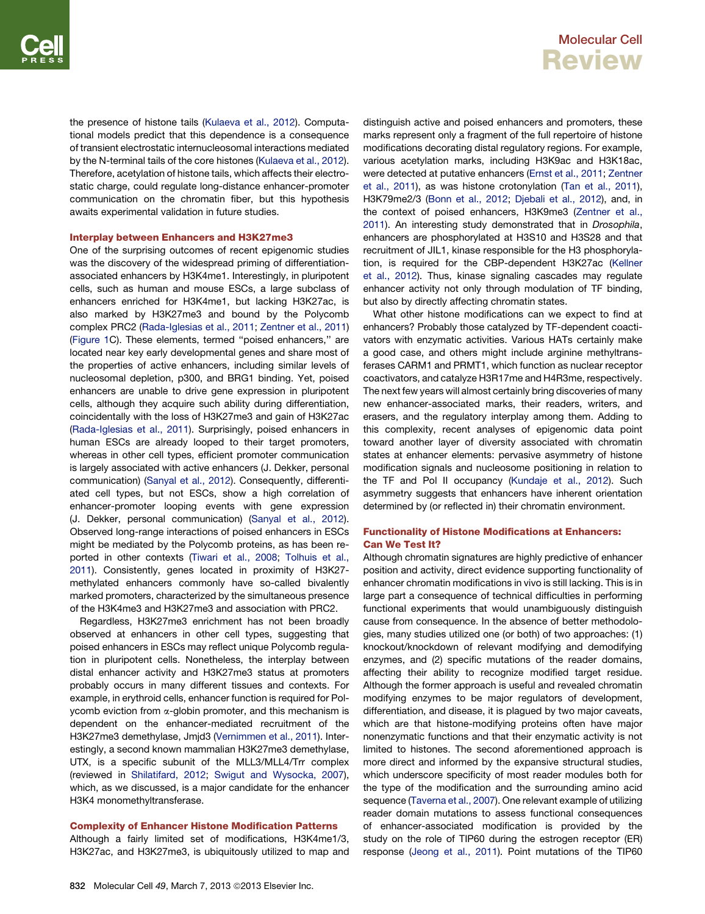the presence of histone tails [\(Kulaeva et al., 2012\)](#page-10-0). Computational models predict that this dependence is a consequence of transient electrostatic internucleosomal interactions mediated by the N-terminal tails of the core histones [\(Kulaeva et al., 2012](#page-10-0)). Therefore, acetylation of histone tails, which affects their electrostatic charge, could regulate long-distance enhancer-promoter communication on the chromatin fiber, but this hypothesis awaits experimental validation in future studies.

### Interplay between Enhancers and H3K27me3

One of the surprising outcomes of recent epigenomic studies was the discovery of the widespread priming of differentiationassociated enhancers by H3K4me1. Interestingly, in pluripotent cells, such as human and mouse ESCs, a large subclass of enhancers enriched for H3K4me1, but lacking H3K27ac, is also marked by H3K27me3 and bound by the Polycomb complex PRC2 ([Rada-Iglesias et al., 2011;](#page-11-0) [Zentner et al., 2011\)](#page-12-0) ([Figure 1C](#page-1-0)). These elements, termed ''poised enhancers,'' are located near key early developmental genes and share most of the properties of active enhancers, including similar levels of nucleosomal depletion, p300, and BRG1 binding. Yet, poised enhancers are unable to drive gene expression in pluripotent cells, although they acquire such ability during differentiation, coincidentally with the loss of H3K27me3 and gain of H3K27ac ([Rada-Iglesias et al., 2011\)](#page-11-0). Surprisingly, poised enhancers in human ESCs are already looped to their target promoters, whereas in other cell types, efficient promoter communication is largely associated with active enhancers (J. Dekker, personal communication) ([Sanyal et al., 2012](#page-11-0)). Consequently, differentiated cell types, but not ESCs, show a high correlation of enhancer-promoter looping events with gene expression (J. Dekker, personal communication) [\(Sanyal et al., 2012](#page-11-0)). Observed long-range interactions of poised enhancers in ESCs might be mediated by the Polycomb proteins, as has been reported in other contexts [\(Tiwari et al., 2008](#page-12-0); [Tolhuis et al.,](#page-12-0) [2011](#page-12-0)). Consistently, genes located in proximity of H3K27 methylated enhancers commonly have so-called bivalently marked promoters, characterized by the simultaneous presence of the H3K4me3 and H3K27me3 and association with PRC2.

Regardless, H3K27me3 enrichment has not been broadly observed at enhancers in other cell types, suggesting that poised enhancers in ESCs may reflect unique Polycomb regulation in pluripotent cells. Nonetheless, the interplay between distal enhancer activity and H3K27me3 status at promoters probably occurs in many different tissues and contexts. For example, in erythroid cells, enhancer function is required for Polycomb eviction from  $\alpha$ -globin promoter, and this mechanism is dependent on the enhancer-mediated recruitment of the H3K27me3 demethylase, Jmjd3 ([Vernimmen et al., 2011\)](#page-12-0). Interestingly, a second known mammalian H3K27me3 demethylase, UTX, is a specific subunit of the MLL3/MLL4/Trr complex (reviewed in [Shilatifard, 2012](#page-12-0); [Swigut and Wysocka, 2007](#page-12-0)), which, as we discussed, is a major candidate for the enhancer H3K4 monomethyltransferase.

### Complexity of Enhancer Histone Modification Patterns

Although a fairly limited set of modifications, H3K4me1/3, H3K27ac, and H3K27me3, is ubiquitously utilized to map and

distinguish active and poised enhancers and promoters, these marks represent only a fragment of the full repertoire of histone modifications decorating distal regulatory regions. For example, various acetylation marks, including H3K9ac and H3K18ac, were detected at putative enhancers ([Ernst et al., 2011](#page-10-0); [Zentner](#page-12-0) [et al., 2011\)](#page-12-0), as was histone crotonylation ([Tan et al., 2011](#page-12-0)), H3K79me2/3 [\(Bonn et al., 2012;](#page-9-0) [Djebali et al., 2012\)](#page-10-0), and, in the context of poised enhancers, H3K9me3 [\(Zentner et al.,](#page-12-0) [2011\)](#page-12-0). An interesting study demonstrated that in *Drosophila*, enhancers are phosphorylated at H3S10 and H3S28 and that recruitment of JIL1, kinase responsible for the H3 phosphorylation, is required for the CBP-dependent H3K27ac ([Kellner](#page-10-0) [et al., 2012\)](#page-10-0). Thus, kinase signaling cascades may regulate enhancer activity not only through modulation of TF binding, but also by directly affecting chromatin states.

What other histone modifications can we expect to find at enhancers? Probably those catalyzed by TF-dependent coactivators with enzymatic activities. Various HATs certainly make a good case, and others might include arginine methyltransferases CARM1 and PRMT1, which function as nuclear receptor coactivators, and catalyze H3R17me and H4R3me, respectively. The next few years will almost certainly bring discoveries of many new enhancer-associated marks, their readers, writers, and erasers, and the regulatory interplay among them. Adding to this complexity, recent analyses of epigenomic data point toward another layer of diversity associated with chromatin states at enhancer elements: pervasive asymmetry of histone modification signals and nucleosome positioning in relation to the TF and Pol II occupancy ([Kundaje et al., 2012\)](#page-11-0). Such asymmetry suggests that enhancers have inherent orientation determined by (or reflected in) their chromatin environment.

### Functionality of Histone Modifications at Enhancers: Can We Test It?

Although chromatin signatures are highly predictive of enhancer position and activity, direct evidence supporting functionality of enhancer chromatin modifications in vivo is still lacking. This is in large part a consequence of technical difficulties in performing functional experiments that would unambiguously distinguish cause from consequence. In the absence of better methodologies, many studies utilized one (or both) of two approaches: (1) knockout/knockdown of relevant modifying and demodifying enzymes, and (2) specific mutations of the reader domains, affecting their ability to recognize modified target residue. Although the former approach is useful and revealed chromatin modifying enzymes to be major regulators of development, differentiation, and disease, it is plagued by two major caveats, which are that histone-modifying proteins often have major nonenzymatic functions and that their enzymatic activity is not limited to histones. The second aforementioned approach is more direct and informed by the expansive structural studies, which underscore specificity of most reader modules both for the type of the modification and the surrounding amino acid sequence ([Taverna et al., 2007\)](#page-12-0). One relevant example of utilizing reader domain mutations to assess functional consequences of enhancer-associated modification is provided by the study on the role of TIP60 during the estrogen receptor (ER) response [\(Jeong et al., 2011\)](#page-10-0). Point mutations of the TIP60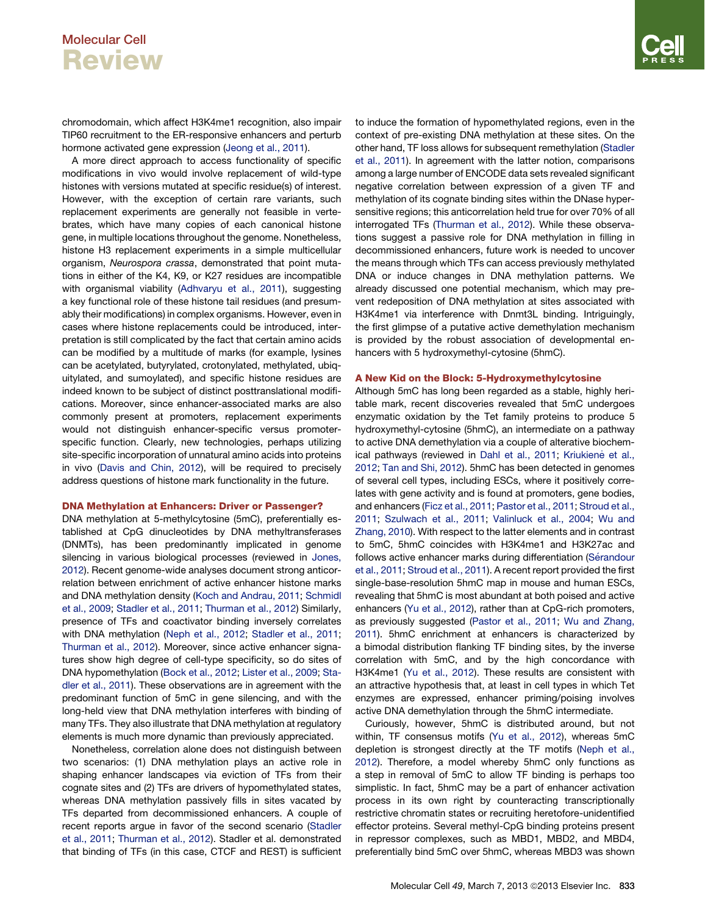chromodomain, which affect H3K4me1 recognition, also impair TIP60 recruitment to the ER-responsive enhancers and perturb hormone activated gene expression [\(Jeong et al., 2011\)](#page-10-0).

A more direct approach to access functionality of specific modifications in vivo would involve replacement of wild-type histones with versions mutated at specific residue(s) of interest. However, with the exception of certain rare variants, such replacement experiments are generally not feasible in vertebrates, which have many copies of each canonical histone gene, in multiple locations throughout the genome. Nonetheless, histone H3 replacement experiments in a simple multicellular organism, *Neurospora crassa*, demonstrated that point mutations in either of the K4, K9, or K27 residues are incompatible with organismal viability ([Adhvaryu et al., 2011](#page-9-0)), suggesting a key functional role of these histone tail residues (and presumably their modifications) in complex organisms. However, even in cases where histone replacements could be introduced, interpretation is still complicated by the fact that certain amino acids can be modified by a multitude of marks (for example, lysines can be acetylated, butyrylated, crotonylated, methylated, ubiquitylated, and sumoylated), and specific histone residues are indeed known to be subject of distinct posttranslational modifications. Moreover, since enhancer-associated marks are also commonly present at promoters, replacement experiments would not distinguish enhancer-specific versus promoterspecific function. Clearly, new technologies, perhaps utilizing site-specific incorporation of unnatural amino acids into proteins in vivo ([Davis and Chin, 2012\)](#page-9-0), will be required to precisely address questions of histone mark functionality in the future.

#### DNA Methylation at Enhancers: Driver or Passenger?

DNA methylation at 5-methylcytosine (5mC), preferentially established at CpG dinucleotides by DNA methyltransferases (DNMTs), has been predominantly implicated in genome silencing in various biological processes (reviewed in [Jones,](#page-10-0) [2012\)](#page-10-0). Recent genome-wide analyses document strong anticorrelation between enrichment of active enhancer histone marks and DNA methylation density [\(Koch and Andrau, 2011;](#page-10-0) [Schmidl](#page-11-0) [et al., 2009;](#page-11-0) [Stadler et al., 2011;](#page-12-0) [Thurman et al., 2012](#page-12-0)) Similarly, presence of TFs and coactivator binding inversely correlates with DNA methylation [\(Neph et al., 2012;](#page-11-0) [Stadler et al., 2011;](#page-12-0) [Thurman et al., 2012\)](#page-12-0). Moreover, since active enhancer signatures show high degree of cell-type specificity, so do sites of DNA hypomethylation ([Bock et al., 2012;](#page-9-0) [Lister et al., 2009;](#page-11-0) [Sta](#page-12-0)[dler et al., 2011](#page-12-0)). These observations are in agreement with the predominant function of 5mC in gene silencing, and with the long-held view that DNA methylation interferes with binding of many TFs. They also illustrate that DNA methylation at regulatory elements is much more dynamic than previously appreciated.

Nonetheless, correlation alone does not distinguish between two scenarios: (1) DNA methylation plays an active role in shaping enhancer landscapes via eviction of TFs from their cognate sites and (2) TFs are drivers of hypomethylated states, whereas DNA methylation passively fills in sites vacated by TFs departed from decommissioned enhancers. A couple of recent reports argue in favor of the second scenario [\(Stadler](#page-12-0) [et al., 2011;](#page-12-0) [Thurman et al., 2012](#page-12-0)). Stadler et al. demonstrated that binding of TFs (in this case, CTCF and REST) is sufficient to induce the formation of hypomethylated regions, even in the context of pre-existing DNA methylation at these sites. On the other hand, TF loss allows for subsequent remethylation [\(Stadler](#page-12-0) [et al., 2011\)](#page-12-0). In agreement with the latter notion, comparisons among a large number of ENCODE data sets revealed significant negative correlation between expression of a given TF and methylation of its cognate binding sites within the DNase hypersensitive regions; this anticorrelation held true for over 70% of all interrogated TFs ([Thurman et al., 2012\)](#page-12-0). While these observations suggest a passive role for DNA methylation in filling in decommissioned enhancers, future work is needed to uncover the means through which TFs can access previously methylated DNA or induce changes in DNA methylation patterns. We already discussed one potential mechanism, which may prevent redeposition of DNA methylation at sites associated with H3K4me1 via interference with Dnmt3L binding. Intriguingly, the first glimpse of a putative active demethylation mechanism is provided by the robust association of developmental enhancers with 5 hydroxymethyl-cytosine (5hmC).

#### A New Kid on the Block: 5-Hydroxymethylcytosine

Although 5mC has long been regarded as a stable, highly heritable mark, recent discoveries revealed that 5mC undergoes enzymatic oxidation by the Tet family proteins to produce 5 hydroxymethyl-cytosine (5hmC), an intermediate on a pathway to active DNA demethylation via a couple of alterative biochem-ical pathways (reviewed in [Dahl et al., 2011](#page-9-0); [Kriukiene](#page-10-0) [et al.,](#page-10-0) [2012;](#page-10-0) [Tan and Shi, 2012](#page-12-0)). 5hmC has been detected in genomes of several cell types, including ESCs, where it positively correlates with gene activity and is found at promoters, gene bodies, and enhancers [\(Ficz et al., 2011](#page-10-0); [Pastor et al., 2011;](#page-11-0) [Stroud et al.,](#page-12-0) [2011;](#page-12-0) [Szulwach et al., 2011;](#page-12-0) [Valinluck et al., 2004;](#page-12-0) [Wu and](#page-12-0) [Zhang, 2010](#page-12-0)). With respect to the latter elements and in contrast to 5mC, 5hmC coincides with H3K4me1 and H3K27ac and follows active enhancer marks during differentiation (Sérandour [et al., 2011;](#page-12-0) [Stroud et al., 2011\)](#page-12-0). A recent report provided the first single-base-resolution 5hmC map in mouse and human ESCs, revealing that 5hmC is most abundant at both poised and active enhancers [\(Yu et al., 2012](#page-12-0)), rather than at CpG-rich promoters, as previously suggested [\(Pastor et al., 2011;](#page-11-0) [Wu and Zhang,](#page-12-0) [2011\)](#page-12-0). 5hmC enrichment at enhancers is characterized by a bimodal distribution flanking TF binding sites, by the inverse correlation with 5mC, and by the high concordance with H3K4me1 ([Yu et al., 2012\)](#page-12-0). These results are consistent with an attractive hypothesis that, at least in cell types in which Tet enzymes are expressed, enhancer priming/poising involves active DNA demethylation through the 5hmC intermediate.

Curiously, however, 5hmC is distributed around, but not within, TF consensus motifs ([Yu et al., 2012\)](#page-12-0), whereas 5mC depletion is strongest directly at the TF motifs [\(Neph et al.,](#page-11-0) [2012\)](#page-11-0). Therefore, a model whereby 5hmC only functions as a step in removal of 5mC to allow TF binding is perhaps too simplistic. In fact, 5hmC may be a part of enhancer activation process in its own right by counteracting transcriptionally restrictive chromatin states or recruiting heretofore-unidentified effector proteins. Several methyl-CpG binding proteins present in repressor complexes, such as MBD1, MBD2, and MBD4, preferentially bind 5mC over 5hmC, whereas MBD3 was shown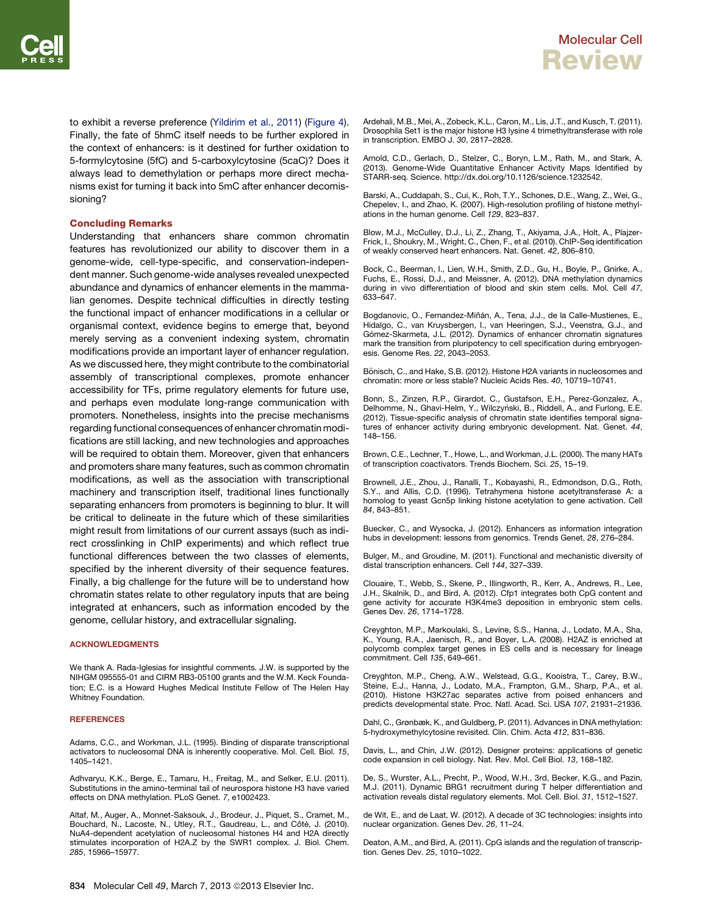<span id="page-9-0"></span>to exhibit a reverse preference [\(Yildirim et al., 2011\)](#page-12-0) [\(Figure 4](#page-5-0)). Finally, the fate of 5hmC itself needs to be further explored in the context of enhancers: is it destined for further oxidation to 5-formylcytosine (5fC) and 5-carboxylcytosine (5caC)? Does it always lead to demethylation or perhaps more direct mechanisms exist for turning it back into 5mC after enhancer decomissioning?

### Concluding Remarks

Understanding that enhancers share common chromatin features has revolutionized our ability to discover them in a genome-wide, cell-type-specific, and conservation-independent manner. Such genome-wide analyses revealed unexpected abundance and dynamics of enhancer elements in the mammalian genomes. Despite technical difficulties in directly testing the functional impact of enhancer modifications in a cellular or organismal context, evidence begins to emerge that, beyond merely serving as a convenient indexing system, chromatin modifications provide an important layer of enhancer regulation. As we discussed here, they might contribute to the combinatorial assembly of transcriptional complexes, promote enhancer accessibility for TFs, prime regulatory elements for future use, and perhaps even modulate long-range communication with promoters. Nonetheless, insights into the precise mechanisms regarding functional consequences of enhancer chromatin modifications are still lacking, and new technologies and approaches will be required to obtain them. Moreover, given that enhancers and promoters share many features, such as common chromatin modifications, as well as the association with transcriptional machinery and transcription itself, traditional lines functionally separating enhancers from promoters is beginning to blur. It will be critical to delineate in the future which of these similarities might result from limitations of our current assays (such as indirect crosslinking in ChIP experiments) and which reflect true functional differences between the two classes of elements, specified by the inherent diversity of their sequence features. Finally, a big challenge for the future will be to understand how chromatin states relate to other regulatory inputs that are being integrated at enhancers, such as information encoded by the genome, cellular history, and extracellular signaling.

#### ACKNOWLEDGMENTS

We thank A. Rada-Iglesias for insightful comments. J.W. is supported by the NIHGM 095555-01 and CIRM RB3-05100 grants and the W.M. Keck Foundation; E.C. is a Howard Hughes Medical Institute Fellow of The Helen Hay Whitney Foundation.

#### **REFERENCES**

Adams, C.C., and Workman, J.L. (1995). Binding of disparate transcriptional activators to nucleosomal DNA is inherently cooperative. Mol. Cell. Biol. *15*, 1405–1421.

Adhvaryu, K.K., Berge, E., Tamaru, H., Freitag, M., and Selker, E.U. (2011). Substitutions in the amino-terminal tail of neurospora histone H3 have varied effects on DNA methylation. PLoS Genet. *7*, e1002423.

Altaf, M., Auger, A., Monnet-Saksouk, J., Brodeur, J., Piquet, S., Cramet, M., Bouchard, N., Lacoste, N., Utley, R.T., Gaudreau, L., and Côté, J. (2010). NuA4-dependent acetylation of nucleosomal histones H4 and H2A directly stimulates incorporation of H2A.Z by the SWR1 complex. J. Biol. Chem. *285*, 15966–15977.

De, S., Wurster, A.L., Precht, P., Wood, W.H., 3rd, Becker, K.G., and Pazin, M.J. (2011). Dynamic BRG1 recruitment during T helper differentiation and activation reveals distal regulatory elements. Mol. Cell. Biol. *31*, 1512–1527.

de Wit, E., and de Laat, W. (2012). A decade of 3C technologies: insights into nuclear organization. Genes Dev. *26*, 11–24.

Deaton, A.M., and Bird, A. (2011). CpG islands and the regulation of transcription. Genes Dev. *25*, 1010–1022.

Arnold, C.D., Gerlach, D., Stelzer, C., Boryn, L.M., Rath, M., and Stark, A. (2013). Genome-Wide Quantitative Enhancer Activity Maps Identified by STARR-seq. Science. http://dx.doi.org/10.1126/science.1232542.

Barski, A., Cuddapah, S., Cui, K., Roh, T.Y., Schones, D.E., Wang, Z., Wei, G., Chepelev, I., and Zhao, K. (2007). High-resolution profiling of histone methylations in the human genome. Cell *129*, 823–837.

Blow, M.J., McCulley, D.J., Li, Z., Zhang, T., Akiyama, J.A., Holt, A., Plajzer-Frick, I., Shoukry, M., Wright, C., Chen, F., et al. (2010). ChIP-Seq identification of weakly conserved heart enhancers. Nat. Genet. *42*, 806–810.

Bock, C., Beerman, I., Lien, W.H., Smith, Z.D., Gu, H., Boyle, P., Gnirke, A., Fuchs, E., Rossi, D.J., and Meissner, A. (2012). DNA methylation dynamics during in vivo differentiation of blood and skin stem cells. Mol. Cell *47*, 633–647.

Bogdanovic, O., Fernandez-Miñán, A., Tena, J.J., de la Calle-Mustienes, E., Hidalgo, C., van Kruysbergen, I., van Heeringen, S.J., Veenstra, G.J., and Gómez-Skarmeta, J.L. (2012). Dynamics of enhancer chromatin signatures mark the transition from pluripotency to cell specification during embryogenesis. Genome Res. *22*, 2043–2053.

Bönisch, C., and Hake, S.B. (2012). Histone H2A variants in nucleosomes and chromatin: more or less stable? Nucleic Acids Res. *40*, 10719–10741.

Bonn, S., Zinzen, R.P., Girardot, C., Gustafson, E.H., Perez-Gonzalez, A., Delhomme, N., Ghavi-Helm, Y., Wilczyński, B., Riddell, A., and Furlong, E.E. (2012). Tissue-specific analysis of chromatin state identifies temporal signatures of enhancer activity during embryonic development. Nat. Genet. *44*, 148–156.

Brown, C.E., Lechner, T., Howe, L., and Workman, J.L. (2000). The many HATs of transcription coactivators. Trends Biochem. Sci. *25*, 15–19.

Brownell, J.E., Zhou, J., Ranalli, T., Kobayashi, R., Edmondson, D.G., Roth, S.Y., and Allis, C.D. (1996). Tetrahymena histone acetyltransferase A: a homolog to yeast Gcn5p linking histone acetylation to gene activation. Cell *84*, 843–851.

Buecker, C., and Wysocka, J. (2012). Enhancers as information integration hubs in development: lessons from genomics. Trends Genet. *28*, 276–284.

Bulger, M., and Groudine, M. (2011). Functional and mechanistic diversity of distal transcription enhancers. Cell *144*, 327–339.

Clouaire, T., Webb, S., Skene, P., Illingworth, R., Kerr, A., Andrews, R., Lee, J.H., Skalnik, D., and Bird, A. (2012). Cfp1 integrates both CpG content and gene activity for accurate H3K4me3 deposition in embryonic stem cells. Genes Dev. *26*, 1714–1728.

Creyghton, M.P., Markoulaki, S., Levine, S.S., Hanna, J., Lodato, M.A., Sha, K., Young, R.A., Jaenisch, R., and Boyer, L.A. (2008). H2AZ is enriched at polycomb complex target genes in ES cells and is necessary for lineage commitment. Cell *135*, 649–661.

Creyghton, M.P., Cheng, A.W., Welstead, G.G., Kooistra, T., Carey, B.W., Steine, E.J., Hanna, J., Lodato, M.A., Frampton, G.M., Sharp, P.A., et al. (2010). Histone H3K27ac separates active from poised enhancers and predicts developmental state. Proc. Natl. Acad. Sci. USA *107*, 21931–21936.

Dahl, C., Grønbæk, K., and Guldberg, P. (2011). Advances in DNA methylation: 5-hydroxymethylcytosine revisited. Clin. Chim. Acta *412*, 831–836.

Davis, L., and Chin, J.W. (2012). Designer proteins: applications of genetic code expansion in cell biology. Nat. Rev. Mol. Cell Biol. *13*, 168–182.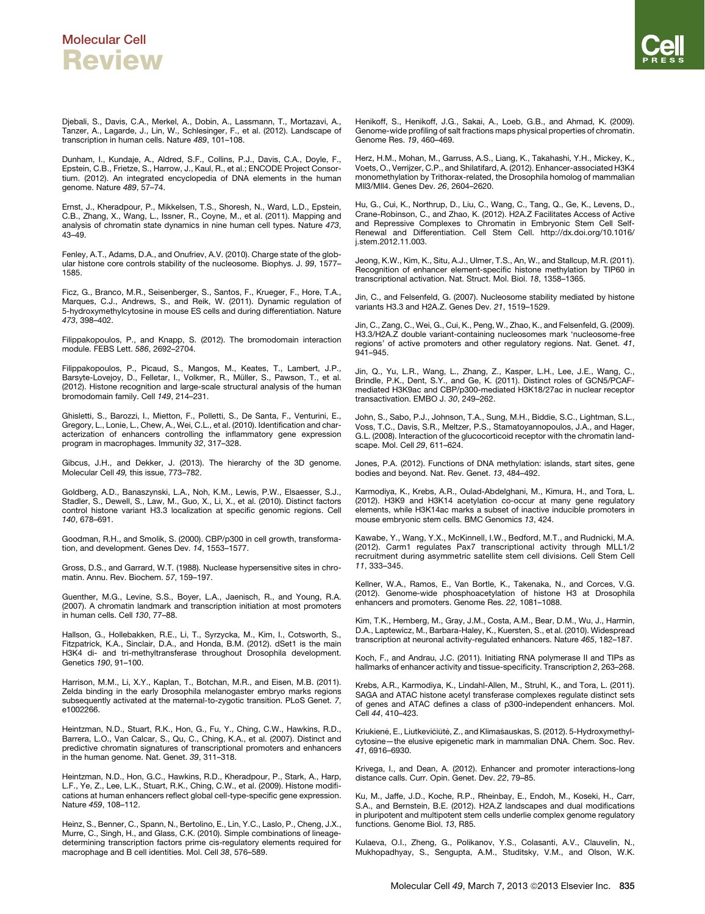<span id="page-10-0"></span>Djebali, S., Davis, C.A., Merkel, A., Dobin, A., Lassmann, T., Mortazavi, A., Tanzer, A., Lagarde, J., Lin, W., Schlesinger, F., et al. (2012). Landscape of transcription in human cells. Nature *489*, 101–108.

Dunham, I., Kundaje, A., Aldred, S.F., Collins, P.J., Davis, C.A., Doyle, F., Epstein, C.B., Frietze, S., Harrow, J., Kaul, R., et al.; ENCODE Project Consortium. (2012). An integrated encyclopedia of DNA elements in the human genome. Nature *489*, 57–74.

Ernst, J., Kheradpour, P., Mikkelsen, T.S., Shoresh, N., Ward, L.D., Epstein, C.B., Zhang, X., Wang, L., Issner, R., Coyne, M., et al. (2011). Mapping and analysis of chromatin state dynamics in nine human cell types. Nature *473*, 43–49.

Fenley, A.T., Adams, D.A., and Onufriev, A.V. (2010). Charge state of the globular histone core controls stability of the nucleosome. Biophys. J. *99*, 1577– 1585.

Ficz, G., Branco, M.R., Seisenberger, S., Santos, F., Krueger, F., Hore, T.A., Marques, C.J., Andrews, S., and Reik, W. (2011). Dynamic regulation of 5-hydroxymethylcytosine in mouse ES cells and during differentiation. Nature *473*, 398–402.

Filippakopoulos, P., and Knapp, S. (2012). The bromodomain interaction module. FEBS Lett. *586*, 2692–2704.

Filippakopoulos, P., Picaud, S., Mangos, M., Keates, T., Lambert, J.P., Barsyte-Lovejoy, D., Felletar, I., Volkmer, R., Müller, S., Pawson, T., et al. (2012). Histone recognition and large-scale structural analysis of the human bromodomain family. Cell *149*, 214–231.

Ghisletti, S., Barozzi, I., Mietton, F., Polletti, S., De Santa, F., Venturini, E., Gregory, L., Lonie, L., Chew, A., Wei, C.L., et al. (2010). Identification and characterization of enhancers controlling the inflammatory gene expression program in macrophages. Immunity *32*, 317–328.

Gibcus, J.H., and Dekker, J. (2013). The hierarchy of the 3D genome. Molecular Cell *49,* this issue, 773–782.

Goldberg, A.D., Banaszynski, L.A., Noh, K.M., Lewis, P.W., Elsaesser, S.J., Stadler, S., Dewell, S., Law, M., Guo, X., Li, X., et al. (2010). Distinct factors control histone variant H3.3 localization at specific genomic regions. Cell *140*, 678–691.

Goodman, R.H., and Smolik, S. (2000). CBP/p300 in cell growth, transformation, and development. Genes Dev. *14*, 1553–1577.

Gross, D.S., and Garrard, W.T. (1988). Nuclease hypersensitive sites in chromatin. Annu. Rev. Biochem. *57*, 159–197.

Guenther, M.G., Levine, S.S., Boyer, L.A., Jaenisch, R., and Young, R.A. (2007). A chromatin landmark and transcription initiation at most promoters in human cells. Cell *130*, 77–88.

Hallson, G., Hollebakken, R.E., Li, T., Syrzycka, M., Kim, I., Cotsworth, S., Fitzpatrick, K.A., Sinclair, D.A., and Honda, B.M. (2012). dSet1 is the main H3K4 di- and tri-methyltransferase throughout Drosophila development. Genetics *190*, 91–100.

Harrison, M.M., Li, X.Y., Kaplan, T., Botchan, M.R., and Eisen, M.B. (2011). Zelda binding in the early Drosophila melanogaster embryo marks regions subsequently activated at the maternal-to-zygotic transition. PLoS Genet. *7*, e1002266.

Heintzman, N.D., Stuart, R.K., Hon, G., Fu, Y., Ching, C.W., Hawkins, R.D., Barrera, L.O., Van Calcar, S., Qu, C., Ching, K.A., et al. (2007). Distinct and predictive chromatin signatures of transcriptional promoters and enhancers in the human genome. Nat. Genet. *39*, 311–318.

Heintzman, N.D., Hon, G.C., Hawkins, R.D., Kheradpour, P., Stark, A., Harp, L.F., Ye, Z., Lee, L.K., Stuart, R.K., Ching, C.W., et al. (2009). Histone modifications at human enhancers reflect global cell-type-specific gene expression. Nature *459*, 108–112.

Heinz, S., Benner, C., Spann, N., Bertolino, E., Lin, Y.C., Laslo, P., Cheng, J.X., Murre, C., Singh, H., and Glass, C.K. (2010). Simple combinations of lineagedetermining transcription factors prime cis-regulatory elements required for macrophage and B cell identities. Mol. Cell *38*, 576–589.

Henikoff, S., Henikoff, J.G., Sakai, A., Loeb, G.B., and Ahmad, K. (2009). Genome-wide profiling of salt fractions maps physical properties of chromatin. Genome Res. *19*, 460–469.

Herz, H.M., Mohan, M., Garruss, A.S., Liang, K., Takahashi, Y.H., Mickey, K., Voets, O., Verrijzer, C.P., and Shilatifard, A. (2012). Enhancer-associated H3K4 monomethylation by Trithorax-related, the Drosophila homolog of mammalian Mll3/Mll4. Genes Dev. *26*, 2604–2620.

Hu, G., Cui, K., Northrup, D., Liu, C., Wang, C., Tang, Q., Ge, K., Levens, D., Crane-Robinson, C., and Zhao, K. (2012). H2A.Z Facilitates Access of Active and Repressive Complexes to Chromatin in Embryonic Stem Cell Self-Renewal and Differentiation. Cell Stem Cell. http://dx.doi.org/10.1016/ j.stem.2012.11.003.

Jeong, K.W., Kim, K., Situ, A.J., Ulmer, T.S., An, W., and Stallcup, M.R. (2011). Recognition of enhancer element-specific histone methylation by TIP60 in transcriptional activation. Nat. Struct. Mol. Biol. *18*, 1358–1365.

Jin, C., and Felsenfeld, G. (2007). Nucleosome stability mediated by histone variants H3.3 and H2A.Z. Genes Dev. *21*, 1519–1529.

Jin, C., Zang, C., Wei, G., Cui, K., Peng, W., Zhao, K., and Felsenfeld, G. (2009). H3.3/H2A.Z double variant-containing nucleosomes mark 'nucleosome-free regions' of active promoters and other regulatory regions. Nat. Genet. *41*, 941–945.

Jin, Q., Yu, L.R., Wang, L., Zhang, Z., Kasper, L.H., Lee, J.E., Wang, C., Brindle, P.K., Dent, S.Y., and Ge, K. (2011). Distinct roles of GCN5/PCAFmediated H3K9ac and CBP/p300-mediated H3K18/27ac in nuclear receptor transactivation. EMBO J. *30*, 249–262.

John, S., Sabo, P.J., Johnson, T.A., Sung, M.H., Biddie, S.C., Lightman, S.L., Voss, T.C., Davis, S.R., Meltzer, P.S., Stamatoyannopoulos, J.A., and Hager, G.L. (2008). Interaction of the glucocorticoid receptor with the chromatin landscape. Mol. Cell *29*, 611–624.

Jones, P.A. (2012). Functions of DNA methylation: islands, start sites, gene bodies and beyond. Nat. Rev. Genet. *13*, 484–492.

Karmodiya, K., Krebs, A.R., Oulad-Abdelghani, M., Kimura, H., and Tora, L. (2012). H3K9 and H3K14 acetylation co-occur at many gene regulatory elements, while H3K14ac marks a subset of inactive inducible promoters in mouse embryonic stem cells. BMC Genomics *13*, 424.

Kawabe, Y., Wang, Y.X., McKinnell, I.W., Bedford, M.T., and Rudnicki, M.A. (2012). Carm1 regulates Pax7 transcriptional activity through MLL1/2 recruitment during asymmetric satellite stem cell divisions. Cell Stem Cell *11*, 333–345.

Kellner, W.A., Ramos, E., Van Bortle, K., Takenaka, N., and Corces, V.G. (2012). Genome-wide phosphoacetylation of histone H3 at Drosophila enhancers and promoters. Genome Res. *22*, 1081–1088.

Kim, T.K., Hemberg, M., Gray, J.M., Costa, A.M., Bear, D.M., Wu, J., Harmin, D.A., Laptewicz, M., Barbara-Haley, K., Kuersten, S., et al. (2010). Widespread transcription at neuronal activity-regulated enhancers. Nature *465*, 182–187.

Koch, F., and Andrau, J.C. (2011). Initiating RNA polymerase II and TIPs as hallmarks of enhancer activity and tissue-specificity. Transcription *2*, 263–268.

Krebs, A.R., Karmodiya, K., Lindahl-Allen, M., Struhl, K., and Tora, L. (2011). SAGA and ATAC histone acetyl transferase complexes regulate distinct sets of genes and ATAC defines a class of p300-independent enhancers. Mol. Cell *44*, 410–423.

Kriukienė, E., Liutkevičiūtė, Z., and Klimašauskas, S. (2012). 5-Hydroxymethylcytosine—the elusive epigenetic mark in mammalian DNA. Chem. Soc. Rev. *41*, 6916–6930.

Krivega, I., and Dean, A. (2012). Enhancer and promoter interactions-long distance calls. Curr. Opin. Genet. Dev. *22*, 79–85.

Ku, M., Jaffe, J.D., Koche, R.P., Rheinbay, E., Endoh, M., Koseki, H., Carr, S.A., and Bernstein, B.E. (2012). H2A.Z landscapes and dual modifications in pluripotent and multipotent stem cells underlie complex genome regulatory functions. Genome Biol. *13*, R85.

Kulaeva, O.I., Zheng, G., Polikanov, Y.S., Colasanti, A.V., Clauvelin, N., Mukhopadhyay, S., Sengupta, A.M., Studitsky, V.M., and Olson, W.K.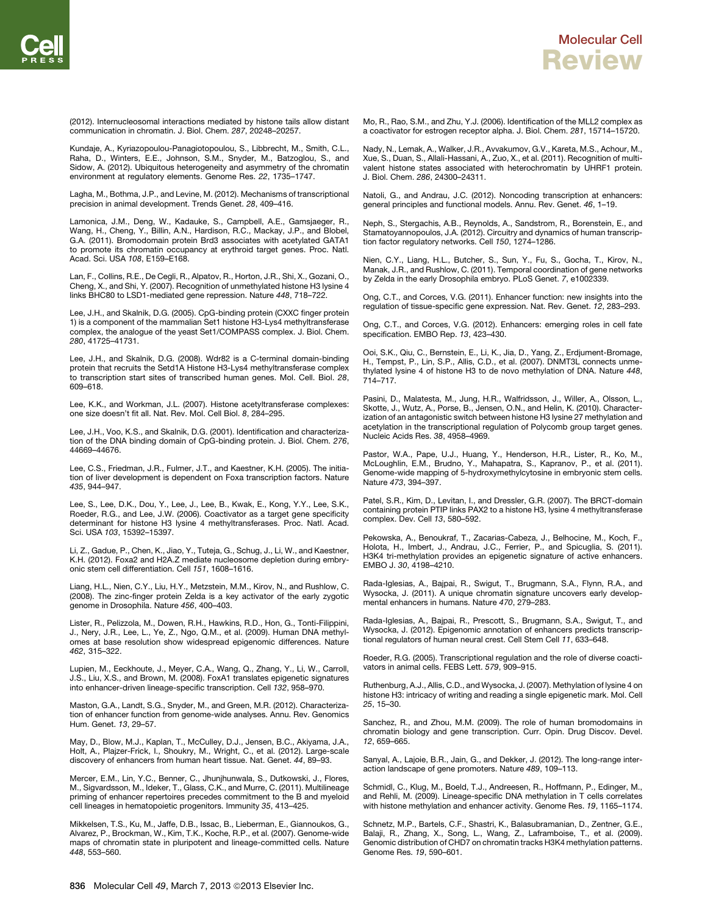<span id="page-11-0"></span>(2012). Internucleosomal interactions mediated by histone tails allow distant communication in chromatin. J. Biol. Chem. *287*, 20248–20257.

Kundaje, A., Kyriazopoulou-Panagiotopoulou, S., Libbrecht, M., Smith, C.L., Raha, D., Winters, E.E., Johnson, S.M., Snyder, M., Batzoglou, S., and Sidow, A. (2012). Ubiquitous heterogeneity and asymmetry of the chromatin environment at regulatory elements. Genome Res. *22*, 1735–1747.

Lagha, M., Bothma, J.P., and Levine, M. (2012). Mechanisms of transcriptional precision in animal development. Trends Genet. *28*, 409–416.

Lamonica, J.M., Deng, W., Kadauke, S., Campbell, A.E., Gamsjaeger, R., Wang, H., Cheng, Y., Billin, A.N., Hardison, R.C., Mackay, J.P., and Blobel, G.A. (2011). Bromodomain protein Brd3 associates with acetylated GATA1 to promote its chromatin occupancy at erythroid target genes. Proc. Natl. Acad. Sci. USA *108*, E159–E168.

Lan, F., Collins, R.E., De Cegli, R., Alpatov, R., Horton, J.R., Shi, X., Gozani, O., Cheng, X., and Shi, Y. (2007). Recognition of unmethylated histone H3 lysine 4 links BHC80 to LSD1-mediated gene repression. Nature *448*, 718–722.

Lee, J.H., and Skalnik, D.G. (2005). CpG-binding protein (CXXC finger protein 1) is a component of the mammalian Set1 histone H3-Lys4 methyltransferase complex, the analogue of the yeast Set1/COMPASS complex. J. Biol. Chem. *280*, 41725–41731.

Lee, J.H., and Skalnik, D.G. (2008). Wdr82 is a C-terminal domain-binding protein that recruits the Setd1A Histone H3-Lys4 methyltransferase complex to transcription start sites of transcribed human genes. Mol. Cell. Biol. *28*, 609–618.

Lee, K.K., and Workman, J.L. (2007). Histone acetyltransferase complexes: one size doesn't fit all. Nat. Rev. Mol. Cell Biol. *8*, 284–295.

Lee, J.H., Voo, K.S., and Skalnik, D.G. (2001). Identification and characterization of the DNA binding domain of CpG-binding protein. J. Biol. Chem. *276*, 44669–44676.

Lee, C.S., Friedman, J.R., Fulmer, J.T., and Kaestner, K.H. (2005). The initiation of liver development is dependent on Foxa transcription factors. Nature *435*, 944–947.

Lee, S., Lee, D.K., Dou, Y., Lee, J., Lee, B., Kwak, E., Kong, Y.Y., Lee, S.K., Roeder, R.G., and Lee, J.W. (2006). Coactivator as a target gene specificity determinant for histone H3 lysine 4 methyltransferases. Proc. Natl. Acad. Sci. USA *103*, 15392–15397.

Li, Z., Gadue, P., Chen, K., Jiao, Y., Tuteja, G., Schug, J., Li, W., and Kaestner, K.H. (2012). Foxa2 and H2A.Z mediate nucleosome depletion during embryonic stem cell differentiation. Cell *151*, 1608–1616.

Liang, H.L., Nien, C.Y., Liu, H.Y., Metzstein, M.M., Kirov, N., and Rushlow, C. (2008). The zinc-finger protein Zelda is a key activator of the early zygotic genome in Drosophila. Nature *456*, 400–403.

Lister, R., Pelizzola, M., Dowen, R.H., Hawkins, R.D., Hon, G., Tonti-Filippini, J., Nery, J.R., Lee, L., Ye, Z., Ngo, Q.M., et al. (2009). Human DNA methylomes at base resolution show widespread epigenomic differences. Nature *462*, 315–322.

Lupien, M., Eeckhoute, J., Meyer, C.A., Wang, Q., Zhang, Y., Li, W., Carroll, J.S., Liu, X.S., and Brown, M. (2008). FoxA1 translates epigenetic signatures into enhancer-driven lineage-specific transcription. Cell *132*, 958–970.

Maston, G.A., Landt, S.G., Snyder, M., and Green, M.R. (2012). Characterization of enhancer function from genome-wide analyses. Annu. Rev. Genomics Hum. Genet. *13*, 29–57.

May, D., Blow, M.J., Kaplan, T., McCulley, D.J., Jensen, B.C., Akiyama, J.A. Holt, A., Plajzer-Frick, I., Shoukry, M., Wright, C., et al. (2012). Large-scale discovery of enhancers from human heart tissue. Nat. Genet. *44*, 89–93.

Mercer, E.M., Lin, Y.C., Benner, C., Jhunjhunwala, S., Dutkowski, J., Flores, M., Sigvardsson, M., Ideker, T., Glass, C.K., and Murre, C. (2011). Multilineage priming of enhancer repertoires precedes commitment to the B and myeloid cell lineages in hematopoietic progenitors. Immunity *35*, 413–425.

Mikkelsen, T.S., Ku, M., Jaffe, D.B., Issac, B., Lieberman, E., Giannoukos, G., Alvarez, P., Brockman, W., Kim, T.K., Koche, R.P., et al. (2007). Genome-wide maps of chromatin state in pluripotent and lineage-committed cells. Nature *448*, 553–560.

Mo, R., Rao, S.M., and Zhu, Y.J. (2006). Identification of the MLL2 complex as a coactivator for estrogen receptor alpha. J. Biol. Chem. *281*, 15714–15720.

Nady, N., Lemak, A., Walker, J.R., Avvakumov, G.V., Kareta, M.S., Achour, M., Xue, S., Duan, S., Allali-Hassani, A., Zuo, X., et al. (2011). Recognition of multivalent histone states associated with heterochromatin by UHRF1 protein. J. Biol. Chem. *286*, 24300–24311.

Natoli, G., and Andrau, J.C. (2012). Noncoding transcription at enhancers: general principles and functional models. Annu. Rev. Genet. *46*, 1–19.

Neph, S., Stergachis, A.B., Reynolds, A., Sandstrom, R., Borenstein, E., and Stamatoyannopoulos, J.A. (2012). Circuitry and dynamics of human transcription factor regulatory networks. Cell *150*, 1274–1286.

Nien, C.Y., Liang, H.L., Butcher, S., Sun, Y., Fu, S., Gocha, T., Kirov, N., Manak, J.R., and Rushlow, C. (2011). Temporal coordination of gene networks by Zelda in the early Drosophila embryo. PLoS Genet. *7*, e1002339.

Ong, C.T., and Corces, V.G. (2011). Enhancer function: new insights into the regulation of tissue-specific gene expression. Nat. Rev. Genet. *12*, 283–293.

Ong, C.T., and Corces, V.G. (2012). Enhancers: emerging roles in cell fate specification. EMBO Rep. *13*, 423–430.

Ooi, S.K., Qiu, C., Bernstein, E., Li, K., Jia, D., Yang, Z., Erdjument-Bromage, H., Tempst, P., Lin, S.P., Allis, C.D., et al. (2007). DNMT3L connects unmethylated lysine 4 of histone H3 to de novo methylation of DNA. Nature *448*, 714–717.

Pasini, D., Malatesta, M., Jung, H.R., Walfridsson, J., Willer, A., Olsson, L., Skotte, J., Wutz, A., Porse, B., Jensen, O.N., and Helin, K. (2010). Characterization of an antagonistic switch between histone H3 lysine 27 methylation and acetylation in the transcriptional regulation of Polycomb group target genes. Nucleic Acids Res. *38*, 4958–4969.

Pastor, W.A., Pape, U.J., Huang, Y., Henderson, H.R., Lister, R., Ko, M., McLoughlin, E.M., Brudno, Y., Mahapatra, S., Kapranov, P., et al. (2011). Genome-wide mapping of 5-hydroxymethylcytosine in embryonic stem cells. Nature *473*, 394–397.

Patel, S.R., Kim, D., Levitan, I., and Dressler, G.R. (2007). The BRCT-domain containing protein PTIP links PAX2 to a histone H3, lysine 4 methyltransferase complex. Dev. Cell *13*, 580–592.

Pekowska, A., Benoukraf, T., Zacarias-Cabeza, J., Belhocine, M., Koch, F., Holota, H., Imbert, J., Andrau, J.C., Ferrier, P., and Spicuglia, S. (2011). H3K4 tri-methylation provides an epigenetic signature of active enhancers. EMBO J. *30*, 4198–4210.

Rada-Iglesias, A., Bajpai, R., Swigut, T., Brugmann, S.A., Flynn, R.A., and Wysocka, J. (2011). A unique chromatin signature uncovers early developmental enhancers in humans. Nature *470*, 279–283.

Rada-Iglesias, A., Bajpai, R., Prescott, S., Brugmann, S.A., Swigut, T., and Wysocka, J. (2012). Epigenomic annotation of enhancers predicts transcriptional regulators of human neural crest. Cell Stem Cell *11*, 633–648.

Roeder, R.G. (2005). Transcriptional regulation and the role of diverse coactivators in animal cells. FEBS Lett. *579*, 909–915.

Ruthenburg, A.J., Allis, C.D., and Wysocka, J. (2007). Methylation of lysine 4 on histone H3: intricacy of writing and reading a single epigenetic mark. Mol. Cell *25*, 15–30.

Sanchez, R., and Zhou, M.M. (2009). The role of human bromodomains in chromatin biology and gene transcription. Curr. Opin. Drug Discov. Devel. *12*, 659–665.

Sanyal, A., Lajoie, B.R., Jain, G., and Dekker, J. (2012). The long-range interaction landscape of gene promoters. Nature *489*, 109–113.

Schmidl, C., Klug, M., Boeld, T.J., Andreesen, R., Hoffmann, P., Edinger, M., and Rehli, M. (2009). Lineage-specific DNA methylation in T cells correlates with histone methylation and enhancer activity. Genome Res. *19*, 1165–1174.

Schnetz, M.P., Bartels, C.F., Shastri, K., Balasubramanian, D., Zentner, G.E. Balaji, R., Zhang, X., Song, L., Wang, Z., Laframboise, T., et al. (2009). Genomic distribution of CHD7 on chromatin tracks H3K4 methylation patterns. Genome Res. *19*, 590–601.